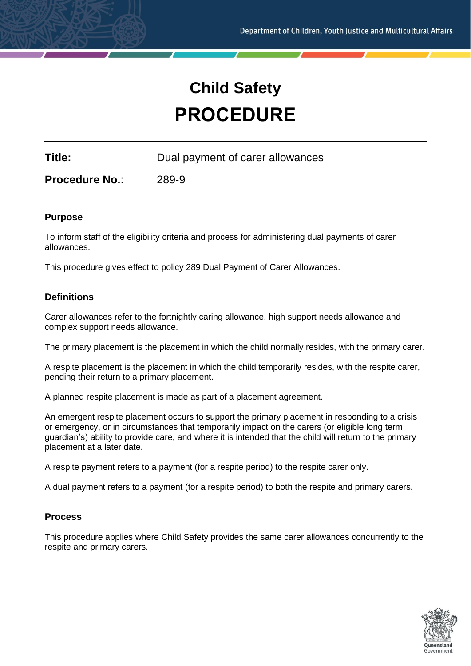# **Child Safety PROCEDURE**

**Title:** Dual payment of carer allowances

**Procedure No.**: 289-9

## **Purpose**

To inform staff of the eligibility criteria and process for administering dual payments of carer allowances.

This procedure gives effect to policy 289 Dual Payment of Carer Allowances.

# **Definitions**

Carer allowances refer to the fortnightly caring allowance, high support needs allowance and complex support needs allowance.

The primary placement is the placement in which the child normally resides, with the primary carer.

A respite placement is the placement in which the child temporarily resides, with the respite carer, pending their return to a primary placement.

A planned respite placement is made as part of a placement agreement.

An emergent respite placement occurs to support the primary placement in responding to a crisis or emergency, or in circumstances that temporarily impact on the carers (or eligible long term guardian's) ability to provide care, and where it is intended that the child will return to the primary placement at a later date.

A respite payment refers to a payment (for a respite period) to the respite carer only.

A dual payment refers to a payment (for a respite period) to both the respite and primary carers.

# **Process**

This procedure applies where Child Safety provides the same carer allowances concurrently to the respite and primary carers.

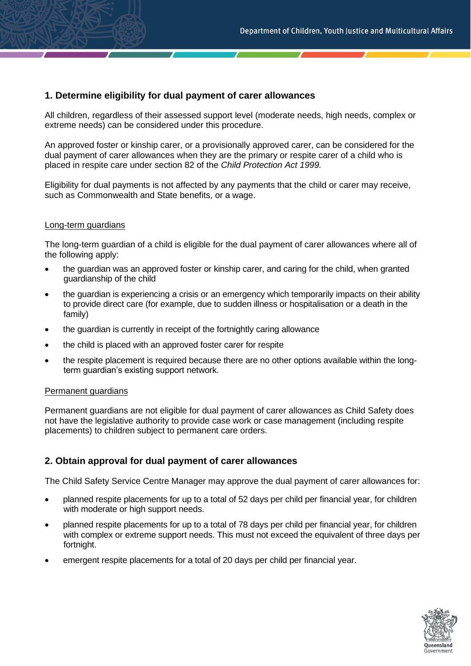# **1. Determine eligibility for dual payment of carer allowances**

All children, regardless of their assessed support level (moderate needs, high needs, complex or extreme needs) can be considered under this procedure.

An approved foster or kinship carer, or a provisionally approved carer, can be considered for the dual payment of carer allowances when they are the primary or respite carer of a child who is placed in respite care under section 82 of the *Child Protection Act 1999.*

Eligibility for dual payments is not affected by any payments that the child or carer may receive, such as Commonwealth and State benefits, or a wage.

#### Long-term guardians

The long-term guardian of a child is eligible for the dual payment of carer allowances where all of the following apply:

- the guardian was an approved foster or kinship carer, and caring for the child, when granted guardianship of the child
- the guardian is experiencing a crisis or an emergency which temporarily impacts on their ability to provide direct care (for example, due to sudden illness or hospitalisation or a death in the family)
- the guardian is currently in receipt of the fortnightly caring allowance
- the child is placed with an approved foster carer for respite
- the respite placement is required because there are no other options available within the longterm guardian's existing support network.

#### Permanent guardians

Permanent guardians are not eligible for dual payment of carer allowances as Child Safety does not have the legislative authority to provide case work or case management (including respite placements) to children subject to permanent care orders.

# **2. Obtain approval for dual payment of carer allowances**

The Child Safety Service Centre Manager may approve the dual payment of carer allowances for:

- planned respite placements for up to a total of 52 days per child per financial year, for children with moderate or high support needs.
- planned respite placements for up to a total of 78 days per child per financial year, for children with complex or extreme support needs. This must not exceed the equivalent of three days per fortnight.
- emergent respite placements for a total of 20 days per child per financial year.

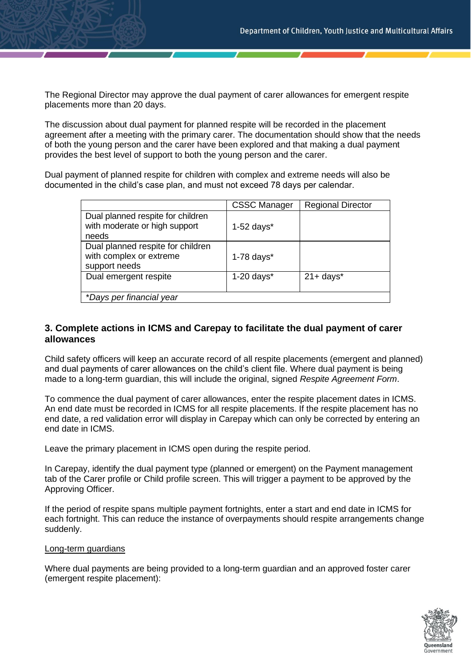The Regional Director may approve the dual payment of carer allowances for emergent respite placements more than 20 days.

The discussion about dual payment for planned respite will be recorded in the placement agreement after a meeting with the primary carer. The documentation should show that the needs of both the young person and the carer have been explored and that making a dual payment provides the best level of support to both the young person and the carer.

Dual payment of planned respite for children with complex and extreme needs will also be documented in the child's case plan, and must not exceed 78 days per calendar.

|                                                                               | <b>CSSC Manager</b> | <b>Regional Director</b> |
|-------------------------------------------------------------------------------|---------------------|--------------------------|
| Dual planned respite for children<br>with moderate or high support<br>needs   | $1-52$ days*        |                          |
| Dual planned respite for children<br>with complex or extreme<br>support needs | $1-78$ days $*$     |                          |
| Dual emergent respite                                                         | $1-20$ days $*$     | $21 + days^*$            |
| *Days per financial year                                                      |                     |                          |

# **3. Complete actions in ICMS and Carepay to facilitate the dual payment of carer allowances**

Child safety officers will keep an accurate record of all respite placements (emergent and planned) and dual payments of carer allowances on the child's client file. Where dual payment is being made to a long-term guardian, this will include the original, signed *Respite Agreement Form*.

To commence the dual payment of carer allowances, enter the respite placement dates in ICMS. An end date must be recorded in ICMS for all respite placements. If the respite placement has no end date, a red validation error will display in Carepay which can only be corrected by entering an end date in ICMS.

Leave the primary placement in ICMS open during the respite period.

In Carepay, identify the dual payment type (planned or emergent) on the Payment management tab of the Carer profile or Child profile screen. This will trigger a payment to be approved by the Approving Officer.

If the period of respite spans multiple payment fortnights, enter a start and end date in ICMS for each fortnight. This can reduce the instance of overpayments should respite arrangements change suddenly.

#### Long-term guardians

Where dual payments are being provided to a long-term guardian and an approved foster carer (emergent respite placement):

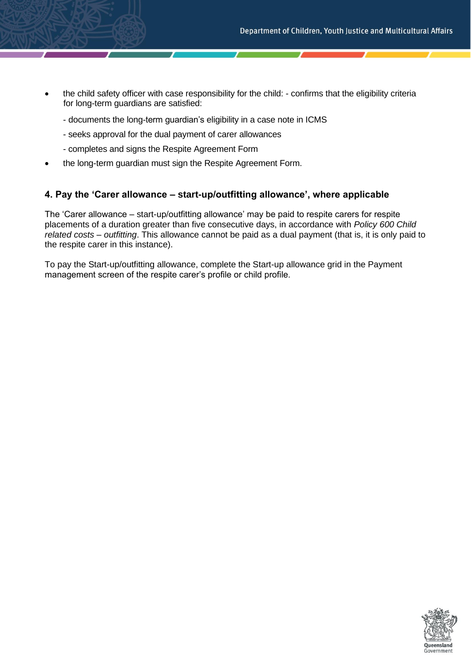- the child safety officer with case responsibility for the child: confirms that the eligibility criteria for long-term guardians are satisfied:
	- documents the long-term guardian's eligibility in a case note in ICMS
	- seeks approval for the dual payment of carer allowances
	- completes and signs the Respite Agreement Form
- the long-term guardian must sign the Respite Agreement Form.

# **4. Pay the 'Carer allowance – start-up/outfitting allowance', where applicable**

The 'Carer allowance – start-up/outfitting allowance' may be paid to respite carers for respite placements of a duration greater than five consecutive days, in accordance with *Policy 600 Child related costs – outfitting*. This allowance cannot be paid as a dual payment (that is, it is only paid to the respite carer in this instance).

To pay the Start-up/outfitting allowance, complete the Start-up allowance grid in the Payment management screen of the respite carer's profile or child profile.

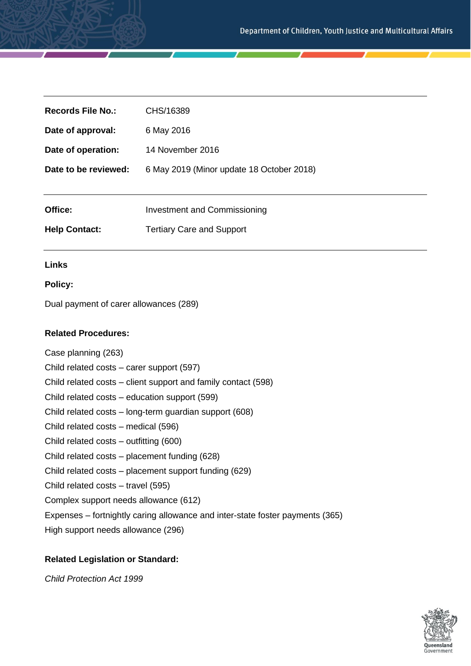| Records File No.:    | CHS/16389                                 |
|----------------------|-------------------------------------------|
| Date of approval:    | 6 May 2016                                |
| Date of operation:   | 14 November 2016                          |
| Date to be reviewed: | 6 May 2019 (Minor update 18 October 2018) |
|                      |                                           |
| Office:              | <b>Investment and Commissioning</b>       |
| <b>Help Contact:</b> | <b>Tertiary Care and Support</b>          |

#### **Links**

#### **Policy:**

Dual payment of carer allowances (289)

### **Related Procedures:**

Case planning (263) Child related costs – carer support (597) Child related costs – client support and family contact (598) Child related costs – education support (599) Child related costs – long-term guardian support (608) Child related costs – medical (596) Child related costs – outfitting (600) Child related costs – placement funding (628) Child related costs – placement support funding (629) Child related costs – travel (595) Complex support needs allowance (612) Expenses – fortnightly caring allowance and inter-state foster payments (365) High support needs allowance (296)

#### **Related Legislation or Standard:**

*Child Protection Act 1999*